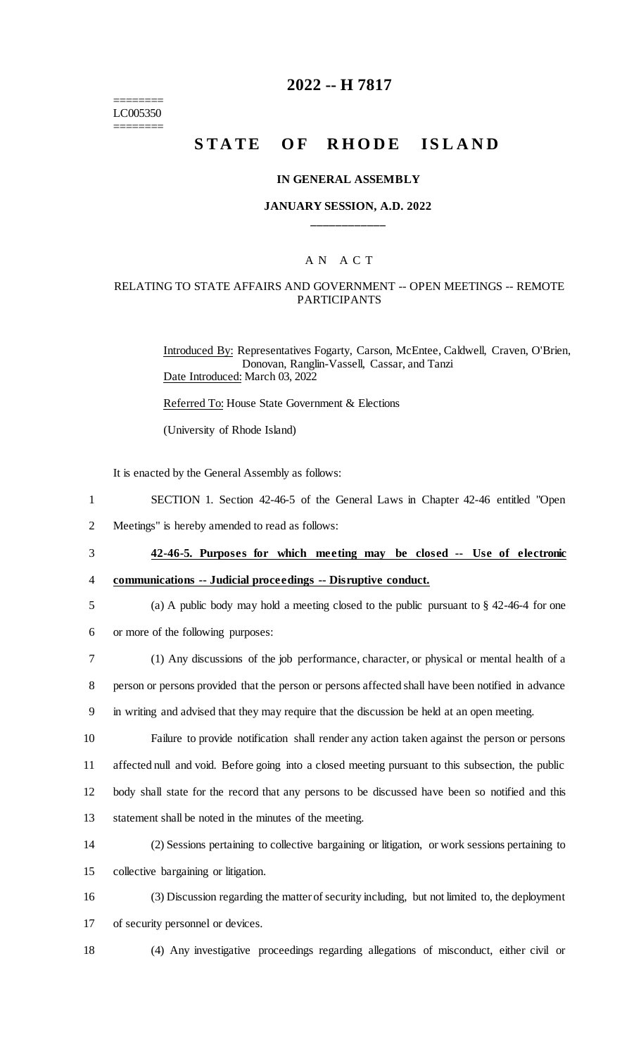======== LC005350 ========

### **2022 -- H 7817**

# **STATE OF RHODE ISLAND**

#### **IN GENERAL ASSEMBLY**

### **JANUARY SESSION, A.D. 2022 \_\_\_\_\_\_\_\_\_\_\_\_**

### A N A C T

### RELATING TO STATE AFFAIRS AND GOVERNMENT -- OPEN MEETINGS -- REMOTE PARTICIPANTS

Introduced By: Representatives Fogarty, Carson, McEntee, Caldwell, Craven, O'Brien, Donovan, Ranglin-Vassell, Cassar, and Tanzi Date Introduced: March 03, 2022

Referred To: House State Government & Elections

(University of Rhode Island)

It is enacted by the General Assembly as follows:

- 1 SECTION 1. Section 42-46-5 of the General Laws in Chapter 42-46 entitled "Open
- 2 Meetings" is hereby amended to read as follows:

### 3 **42-46-5. Purposes for which meeting may be closed -- Use of electronic**

#### 4 **communications -- Judicial proceedings -- Disruptive conduct.**

- 5 (a) A public body may hold a meeting closed to the public pursuant to § 42-46-4 for one
- 6 or more of the following purposes:
- 7 (1) Any discussions of the job performance, character, or physical or mental health of a

8 person or persons provided that the person or persons affected shall have been notified in advance 9 in writing and advised that they may require that the discussion be held at an open meeting.

 Failure to provide notification shall render any action taken against the person or persons affected null and void. Before going into a closed meeting pursuant to this subsection, the public body shall state for the record that any persons to be discussed have been so notified and this statement shall be noted in the minutes of the meeting.

14 (2) Sessions pertaining to collective bargaining or litigation, or work sessions pertaining to

15 collective bargaining or litigation.

16 (3) Discussion regarding the matter of security including, but not limited to, the deployment 17 of security personnel or devices.

18 (4) Any investigative proceedings regarding allegations of misconduct, either civil or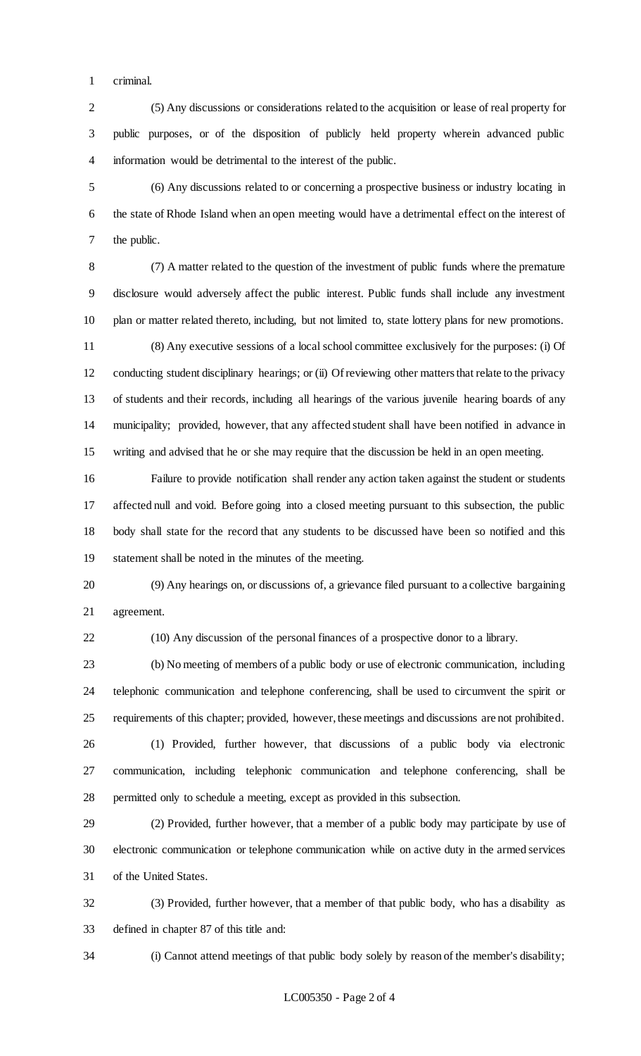criminal.

 (5) Any discussions or considerations related to the acquisition or lease of real property for public purposes, or of the disposition of publicly held property wherein advanced public information would be detrimental to the interest of the public.

 (6) Any discussions related to or concerning a prospective business or industry locating in the state of Rhode Island when an open meeting would have a detrimental effect on the interest of the public.

 (7) A matter related to the question of the investment of public funds where the premature disclosure would adversely affect the public interest. Public funds shall include any investment plan or matter related thereto, including, but not limited to, state lottery plans for new promotions.

 (8) Any executive sessions of a local school committee exclusively for the purposes: (i) Of conducting student disciplinary hearings; or (ii) Of reviewing other matters that relate to the privacy of students and their records, including all hearings of the various juvenile hearing boards of any municipality; provided, however, that any affected student shall have been notified in advance in writing and advised that he or she may require that the discussion be held in an open meeting.

 Failure to provide notification shall render any action taken against the student or students affected null and void. Before going into a closed meeting pursuant to this subsection, the public body shall state for the record that any students to be discussed have been so notified and this statement shall be noted in the minutes of the meeting.

 (9) Any hearings on, or discussions of, a grievance filed pursuant to a collective bargaining agreement.

(10) Any discussion of the personal finances of a prospective donor to a library.

 (b) No meeting of members of a public body or use of electronic communication, including telephonic communication and telephone conferencing, shall be used to circumvent the spirit or requirements of this chapter; provided, however, these meetings and discussions are not prohibited.

 (1) Provided, further however, that discussions of a public body via electronic communication, including telephonic communication and telephone conferencing, shall be permitted only to schedule a meeting, except as provided in this subsection.

 (2) Provided, further however, that a member of a public body may participate by use of electronic communication or telephone communication while on active duty in the armed services of the United States.

 (3) Provided, further however, that a member of that public body, who has a disability as defined in chapter 87 of this title and:

(i) Cannot attend meetings of that public body solely by reason of the member's disability;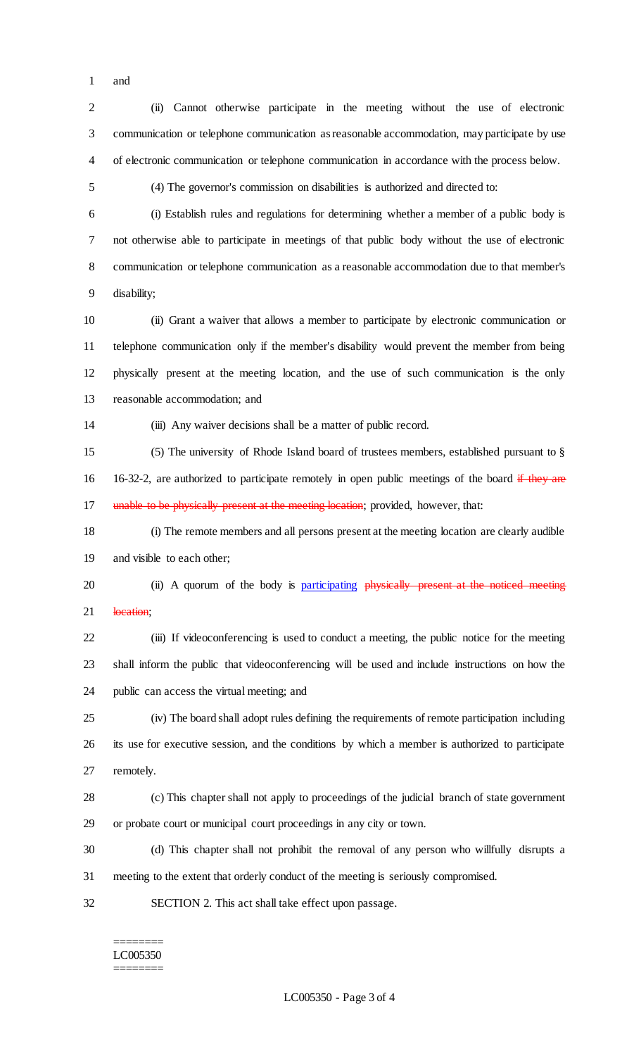and

 (ii) Cannot otherwise participate in the meeting without the use of electronic communication or telephone communication as reasonable accommodation, may participate by use of electronic communication or telephone communication in accordance with the process below.

(4) The governor's commission on disabilities is authorized and directed to:

 (i) Establish rules and regulations for determining whether a member of a public body is not otherwise able to participate in meetings of that public body without the use of electronic communication or telephone communication as a reasonable accommodation due to that member's disability;

 (ii) Grant a waiver that allows a member to participate by electronic communication or telephone communication only if the member's disability would prevent the member from being physically present at the meeting location, and the use of such communication is the only reasonable accommodation; and

(iii) Any waiver decisions shall be a matter of public record.

 (5) The university of Rhode Island board of trustees members, established pursuant to § 16 16-32-2, are authorized to participate remotely in open public meetings of the board if they are 17 unable to be physically present at the meeting location; provided, however, that:

 (i) The remote members and all persons present at the meeting location are clearly audible and visible to each other;

20 (ii) A quorum of the body is participating physically present at the noticed meeting 21 location;

 (iii) If videoconferencing is used to conduct a meeting, the public notice for the meeting shall inform the public that videoconferencing will be used and include instructions on how the public can access the virtual meeting; and

 (iv) The board shall adopt rules defining the requirements of remote participation including its use for executive session, and the conditions by which a member is authorized to participate remotely.

 (c) This chapter shall not apply to proceedings of the judicial branch of state government or probate court or municipal court proceedings in any city or town.

(d) This chapter shall not prohibit the removal of any person who willfully disrupts a

meeting to the extent that orderly conduct of the meeting is seriously compromised.

SECTION 2. This act shall take effect upon passage.

#### ======== LC005350 ========